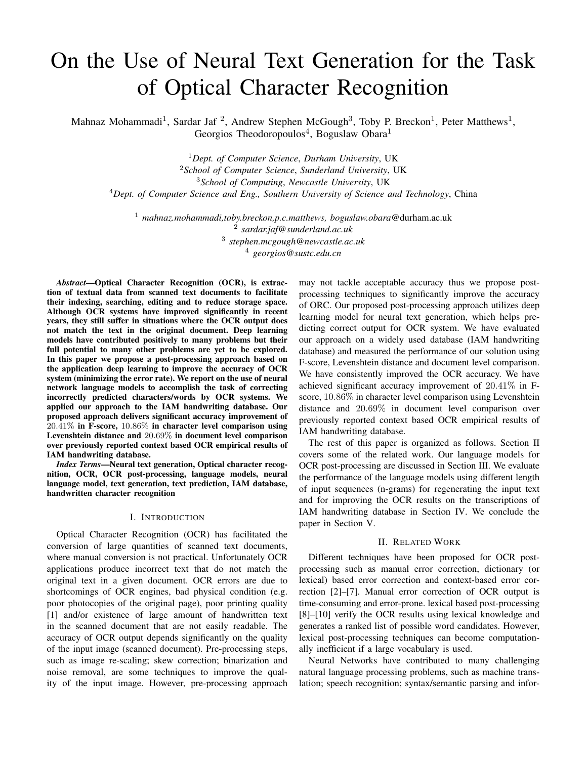# On the Use of Neural Text Generation for the Task of Optical Character Recognition

Mahnaz Mohammadi<sup>1</sup>, Sardar Jaf<sup>2</sup>, Andrew Stephen McGough<sup>3</sup>, Toby P. Breckon<sup>1</sup>, Peter Matthews<sup>1</sup>, Georgios Theodoropoulos<sup>4</sup>, Boguslaw Obara<sup>1</sup>

*Dept. of Computer Science*, *Durham University*, UK *School of Computer Science*, *Sunderland University*, UK *School of Computing*, *Newcastle University*, UK *Dept. of Computer Science and Eng., Southern University of Science and Technology*, China

 *mahnaz.mohammadi,toby.breckon,p.c.matthews, boguslaw.obara*@durham.ac.uk *sardar.jaf@sunderland.ac.uk stephen.mcgough@newcastle.ac.uk georgios@sustc.edu.cn*

*Abstract*—Optical Character Recognition (OCR), is extraction of textual data from scanned text documents to facilitate their indexing, searching, editing and to reduce storage space. Although OCR systems have improved significantly in recent years, they still suffer in situations where the OCR output does not match the text in the original document. Deep learning models have contributed positively to many problems but their full potential to many other problems are yet to be explored. In this paper we propose a post-processing approach based on the application deep learning to improve the accuracy of OCR system (minimizing the error rate). We report on the use of neural network language models to accomplish the task of correcting incorrectly predicted characters/words by OCR systems. We applied our approach to the IAM handwriting database. Our proposed approach delivers significant accuracy improvement of 20*.*41% in F-score, 10*.*86% in character level comparison using Levenshtein distance and 20*.*69% in document level comparison over previously reported context based OCR empirical results of IAM handwriting database.

*Index Terms*—Neural text generation, Optical character recognition, OCR, OCR post-processing, language models, neural language model, text generation, text prediction, IAM database, handwritten character recognition

# I. INTRODUCTION

Optical Character Recognition (OCR) has facilitated the conversion of large quantities of scanned text documents, where manual conversion is not practical. Unfortunately OCR applications produce incorrect text that do not match the original text in a given document. OCR errors are due to shortcomings of OCR engines, bad physical condition (e.g. poor photocopies of the original page), poor printing quality [1] and/or existence of large amount of handwritten text in the scanned document that are not easily readable. The accuracy of OCR output depends significantly on the quality of the input image (scanned document). Pre-processing steps, such as image re-scaling; skew correction; binarization and noise removal, are some techniques to improve the quality of the input image. However, pre-processing approach

may not tackle acceptable accuracy thus we propose postprocessing techniques to significantly improve the accuracy of ORC. Our proposed post-processing approach utilizes deep learning model for neural text generation, which helps predicting correct output for OCR system. We have evaluated our approach on a widely used database (IAM handwriting database) and measured the performance of our solution using F-score, Levenshtein distance and document level comparison. We have consistently improved the OCR accuracy. We have achieved significant accuracy improvement of 20*.*41% in Fscore, 10*.*86% in character level comparison using Levenshtein distance and 20*.*69% in document level comparison over previously reported context based OCR empirical results of IAM handwriting database.

The rest of this paper is organized as follows. Section II covers some of the related work. Our language models for OCR post-processing are discussed in Section III. We evaluate the performance of the language models using different length of input sequences (n-grams) for regenerating the input text and for improving the OCR results on the transcriptions of IAM handwriting database in Section IV. We conclude the paper in Section V.

### II. RELATED WORK

Different techniques have been proposed for OCR postprocessing such as manual error correction, dictionary (or lexical) based error correction and context-based error correction [2]–[7]. Manual error correction of OCR output is time-consuming and error-prone. lexical based post-processing [8]–[10] verify the OCR results using lexical knowledge and generates a ranked list of possible word candidates. However, lexical post-processing techniques can become computationally inefficient if a large vocabulary is used.

Neural Networks have contributed to many challenging natural language processing problems, such as machine translation; speech recognition; syntax/semantic parsing and infor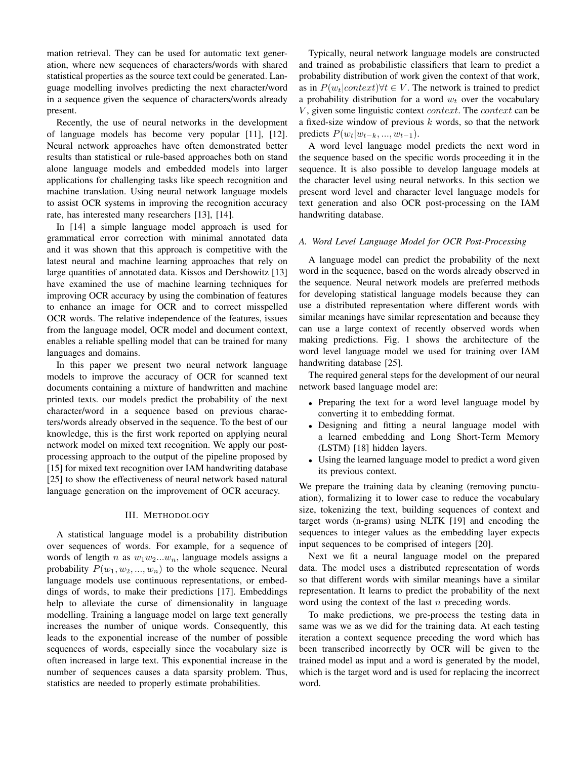mation retrieval. They can be used for automatic text generation, where new sequences of characters/words with shared statistical properties as the source text could be generated. Language modelling involves predicting the next character/word in a sequence given the sequence of characters/words already present.

Recently, the use of neural networks in the development of language models has become very popular [11], [12]. Neural network approaches have often demonstrated better results than statistical or rule-based approaches both on stand alone language models and embedded models into larger applications for challenging tasks like speech recognition and machine translation. Using neural network language models to assist OCR systems in improving the recognition accuracy rate, has interested many researchers [13], [14].

In [14] a simple language model approach is used for grammatical error correction with minimal annotated data and it was shown that this approach is competitive with the latest neural and machine learning approaches that rely on large quantities of annotated data. Kissos and Dershowitz [13] have examined the use of machine learning techniques for improving OCR accuracy by using the combination of features to enhance an image for OCR and to correct misspelled OCR words. The relative independence of the features, issues from the language model, OCR model and document context, enables a reliable spelling model that can be trained for many languages and domains.

In this paper we present two neural network language models to improve the accuracy of OCR for scanned text documents containing a mixture of handwritten and machine printed texts. our models predict the probability of the next character/word in a sequence based on previous characters/words already observed in the sequence. To the best of our knowledge, this is the first work reported on applying neural network model on mixed text recognition. We apply our postprocessing approach to the output of the pipeline proposed by [15] for mixed text recognition over IAM handwriting database [25] to show the effectiveness of neural network based natural language generation on the improvement of OCR accuracy.

## III. METHODOLOGY

A statistical language model is a probability distribution over sequences of words. For example, for a sequence of words of length *n* as *w*1*w*2*...wn*, language models assigns a probability  $P(w_1, w_2, ..., w_n)$  to the whole sequence. Neural language models use continuous representations, or embeddings of words, to make their predictions [17]. Embeddings help to alleviate the curse of dimensionality in language modelling. Training a language model on large text generally increases the number of unique words. Consequently, this leads to the exponential increase of the number of possible sequences of words, especially since the vocabulary size is often increased in large text. This exponential increase in the number of sequences causes a data sparsity problem. Thus, statistics are needed to properly estimate probabilities.

Typically, neural network language models are constructed and trained as probabilistic classifiers that learn to predict a probability distribution of work given the context of that work, as in  $P(w_t|context)$  $\forall t \in V$ . The network is trained to predict a probability distribution for a word  $w_t$  over the vocabulary *V* , given some linguistic context *context*. The *context* can be a fixed-size window of previous *k* words, so that the network *predicts*  $P(w_t|w_{t-k},...,w_{t-1})$ .

A word level language model predicts the next word in the sequence based on the specific words proceeding it in the sequence. It is also possible to develop language models at the character level using neural networks. In this section we present word level and character level language models for text generation and also OCR post-processing on the IAM handwriting database.

# *A. Word Level Language Model for OCR Post-Processing*

A language model can predict the probability of the next word in the sequence, based on the words already observed in the sequence. Neural network models are preferred methods for developing statistical language models because they can use a distributed representation where different words with similar meanings have similar representation and because they can use a large context of recently observed words when making predictions. Fig. 1 shows the architecture of the word level language model we used for training over IAM handwriting database [25].

The required general steps for the development of our neural network based language model are:

- Preparing the text for a word level language model by converting it to embedding format.
- *•* Designing and fitting a neural language model with a learned embedding and Long Short-Term Memory (LSTM) [18] hidden layers.
- *•* Using the learned language model to predict a word given its previous context.

We prepare the training data by cleaning (removing punctuation), formalizing it to lower case to reduce the vocabulary size, tokenizing the text, building sequences of context and target words (n-grams) using NLTK [19] and encoding the sequences to integer values as the embedding layer expects input sequences to be comprised of integers [20].

Next we fit a neural language model on the prepared data. The model uses a distributed representation of words so that different words with similar meanings have a similar representation. It learns to predict the probability of the next word using the context of the last *n* preceding words.

To make predictions, we pre-process the testing data in same was we as we did for the training data. At each testing iteration a context sequence preceding the word which has been transcribed incorrectly by OCR will be given to the trained model as input and a word is generated by the model, which is the target word and is used for replacing the incorrect word.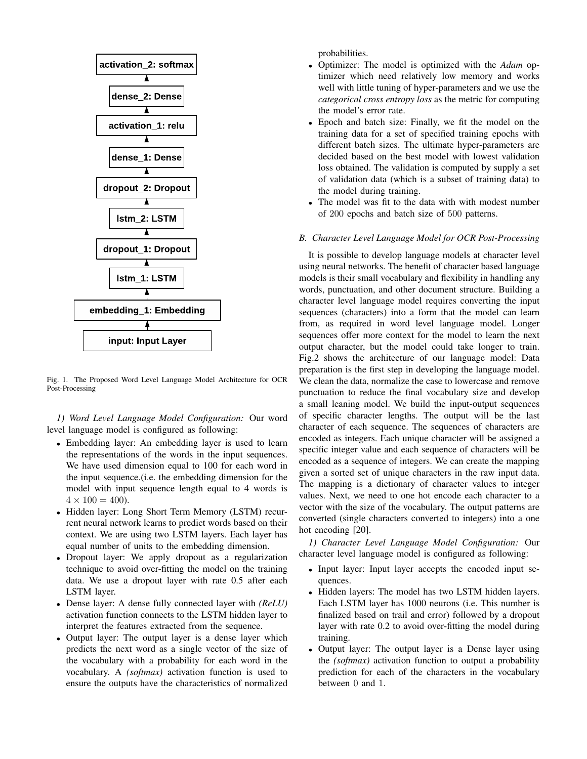

Fig. 1. The Proposed Word Level Language Model Architecture for OCR Post-Processing

*1) Word Level Language Model Configuration:* Our word level language model is configured as following:

- *•* Embedding layer: An embedding layer is used to learn the representations of the words in the input sequences. We have used dimension equal to 100 for each word in the input sequence.(i.e. the embedding dimension for the model with input sequence length equal to 4 words is  $4 \times 100 = 400$ .
- *•* Hidden layer: Long Short Term Memory (LSTM) recurrent neural network learns to predict words based on their context. We are using two LSTM layers. Each layer has equal number of units to the embedding dimension.
- *•* Dropout layer: We apply dropout as a regularization technique to avoid over-fitting the model on the training data. We use a dropout layer with rate 0.5 after each LSTM layer.
- *•* Dense layer: A dense fully connected layer with *(ReLU)* activation function connects to the LSTM hidden layer to interpret the features extracted from the sequence.
- *•* Output layer: The output layer is a dense layer which predicts the next word as a single vector of the size of the vocabulary with a probability for each word in the vocabulary. A *(softmax)* activation function is used to ensure the outputs have the characteristics of normalized

probabilities.

- *•* Optimizer: The model is optimized with the *Adam* optimizer which need relatively low memory and works well with little tuning of hyper-parameters and we use the *categorical cross entropy loss* as the metric for computing the model's error rate.
- *•* Epoch and batch size: Finally, we fit the model on the training data for a set of specified training epochs with different batch sizes. The ultimate hyper-parameters are decided based on the best model with lowest validation loss obtained. The validation is computed by supply a set of validation data (which is a subset of training data) to the model during training.
- The model was fit to the data with with modest number of 200 epochs and batch size of 500 patterns.

# *B. Character Level Language Model for OCR Post-Processing*

It is possible to develop language models at character level using neural networks. The benefit of character based language models is their small vocabulary and flexibility in handling any words, punctuation, and other document structure. Building a character level language model requires converting the input sequences (characters) into a form that the model can learn from, as required in word level language model. Longer sequences offer more context for the model to learn the next output character, but the model could take longer to train. Fig.2 shows the architecture of our language model: Data preparation is the first step in developing the language model. We clean the data, normalize the case to lowercase and remove punctuation to reduce the final vocabulary size and develop a small leaning model. We build the input-output sequences of specific character lengths. The output will be the last character of each sequence. The sequences of characters are encoded as integers. Each unique character will be assigned a specific integer value and each sequence of characters will be encoded as a sequence of integers. We can create the mapping given a sorted set of unique characters in the raw input data. The mapping is a dictionary of character values to integer values. Next, we need to one hot encode each character to a vector with the size of the vocabulary. The output patterns are converted (single characters converted to integers) into a one hot encoding [20].

*1) Character Level Language Model Configuration:* Our character level language model is configured as following:

- *•* Input layer: Input layer accepts the encoded input sequences.
- *•* Hidden layers: The model has two LSTM hidden layers. Each LSTM layer has 1000 neurons (i.e. This number is finalized based on trail and error) followed by a dropout layer with rate 0.2 to avoid over-fitting the model during training.
- *•* Output layer: The output layer is a Dense layer using the *(softmax)* activation function to output a probability prediction for each of the characters in the vocabulary between 0 and 1.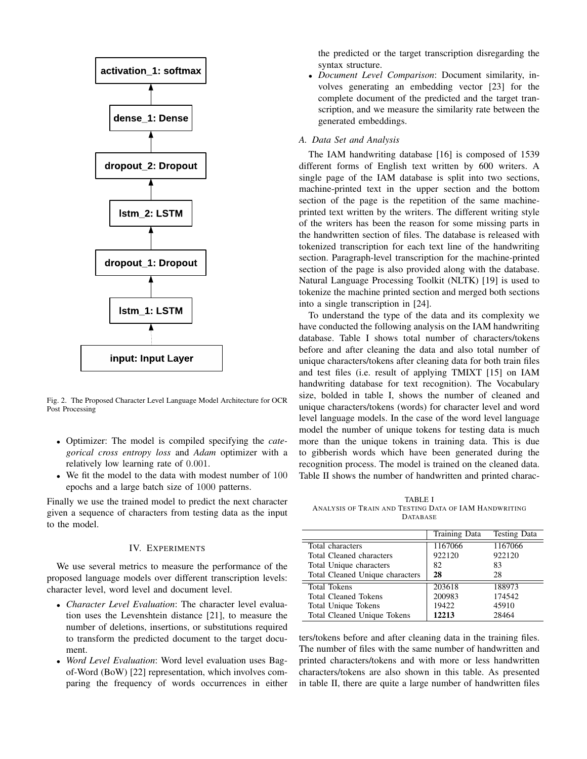

Fig. 2. The Proposed Character Level Language Model Architecture for OCR Post Processing

- *•* Optimizer: The model is compiled specifying the *categorical cross entropy loss* and *Adam* optimizer with a relatively low learning rate of 0*.*001.
- *•* We fit the model to the data with modest number of 100 epochs and a large batch size of 1000 patterns.

Finally we use the trained model to predict the next character given a sequence of characters from testing data as the input to the model.

# IV. EXPERIMENTS

We use several metrics to measure the performance of the proposed language models over different transcription levels: character level, word level and document level.

- *• Character Level Evaluation*: The character level evaluation uses the Levenshtein distance [21], to measure the number of deletions, insertions, or substitutions required to transform the predicted document to the target document.
- *• Word Level Evaluation*: Word level evaluation uses Bagof-Word (BoW) [22] representation, which involves comparing the frequency of words occurrences in either

the predicted or the target transcription disregarding the syntax structure.

*• Document Level Comparison*: Document similarity, involves generating an embedding vector [23] for the complete document of the predicted and the target transcription, and we measure the similarity rate between the generated embeddings.

# *A. Data Set and Analysis*

The IAM handwriting database [16] is composed of 1539 different forms of English text written by 600 writers. A single page of the IAM database is split into two sections, machine-printed text in the upper section and the bottom section of the page is the repetition of the same machineprinted text written by the writers. The different writing style of the writers has been the reason for some missing parts in the handwritten section of files. The database is released with tokenized transcription for each text line of the handwriting section. Paragraph-level transcription for the machine-printed section of the page is also provided along with the database. Natural Language Processing Toolkit (NLTK) [19] is used to tokenize the machine printed section and merged both sections into a single transcription in [24].

To understand the type of the data and its complexity we have conducted the following analysis on the IAM handwriting database. Table I shows total number of characters/tokens before and after cleaning the data and also total number of unique characters/tokens after cleaning data for both train files and test files (i.e. result of applying TMIXT [15] on IAM handwriting database for text recognition). The Vocabulary size, bolded in table I, shows the number of cleaned and unique characters/tokens (words) for character level and word level language models. In the case of the word level language model the number of unique tokens for testing data is much more than the unique tokens in training data. This is due to gibberish words which have been generated during the recognition process. The model is trained on the cleaned data. Table II shows the number of handwritten and printed charac-

TABLE I ANALYSIS OF TRAIN AND TESTING DATA OF IAM HANDWRITING DATABASE

|                                    | <b>Training Data</b> | <b>Testing Data</b> |
|------------------------------------|----------------------|---------------------|
| Total characters                   | 1167066              | 1167066             |
| Total Cleaned characters           | 922120               | 922120              |
| Total Unique characters            | 82                   | 83                  |
| Total Cleaned Unique characters    | 28                   | 28                  |
| <b>Total Tokens</b>                | 203618               | 188973              |
| <b>Total Cleaned Tokens</b>        | 200983               | 174542              |
| <b>Total Unique Tokens</b>         | 19422                | 45910               |
| <b>Total Cleaned Unique Tokens</b> | 12213                | 28464               |

ters/tokens before and after cleaning data in the training files. The number of files with the same number of handwritten and printed characters/tokens and with more or less handwritten characters/tokens are also shown in this table. As presented in table II, there are quite a large number of handwritten files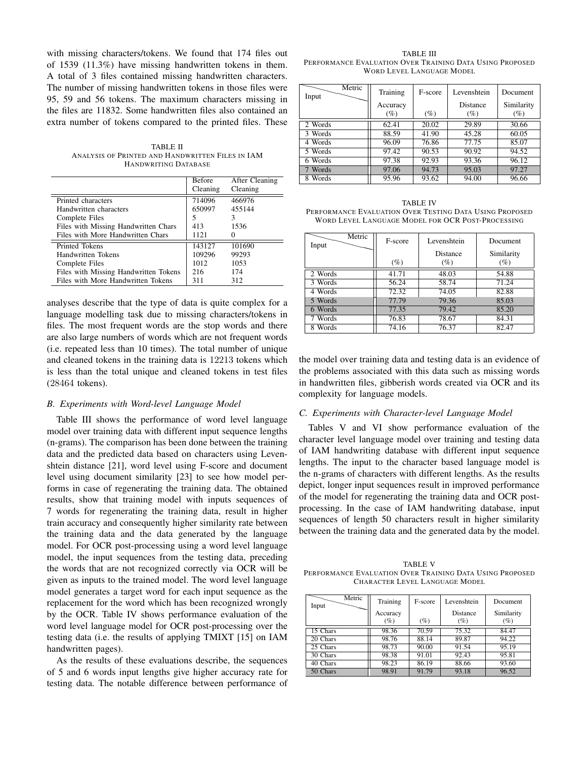with missing characters/tokens. We found that 174 files out of 1539 (11.3%) have missing handwritten tokens in them. A total of 3 files contained missing handwritten characters. The number of missing handwritten tokens in those files were 95, 59 and 56 tokens. The maximum characters missing in the files are 11832. Some handwritten files also contained an extra number of tokens compared to the printed files. These

TABLE II ANALYSIS OF PRINTED AND HANDWRITTEN FILES IN IAM HANDWRITING DATABASE

|                                       | Before   | After Cleaning |
|---------------------------------------|----------|----------------|
|                                       | Cleaning | Cleaning       |
| Printed characters                    | 714096   | 466976         |
| Handwritten characters                | 650997   | 455144         |
| Complete Files                        | 5        | 3              |
| Files with Missing Handwritten Chars  | 413      | 1536           |
| Files with More Handwritten Chars     | 1121     |                |
| Printed Tokens                        | 143127   | 101690         |
| Handwritten Tokens                    | 109296   | 99293          |
| Complete Files                        | 1012     | 1053           |
| Files with Missing Handwritten Tokens | 216      | 174            |
| Files with More Handwritten Tokens    | 311      | 312            |

analyses describe that the type of data is quite complex for a language modelling task due to missing characters/tokens in files. The most frequent words are the stop words and there are also large numbers of words which are not frequent words (i.e. repeated less than 10 times). The total number of unique and cleaned tokens in the training data is 12213 tokens which is less than the total unique and cleaned tokens in test files (28464 tokens).

## *B. Experiments with Word-level Language Model*

Table III shows the performance of word level language model over training data with different input sequence lengths (n-grams). The comparison has been done between the training data and the predicted data based on characters using Levenshtein distance [21], word level using F-score and document level using document similarity [23] to see how model performs in case of regenerating the training data. The obtained results, show that training model with inputs sequences of 7 words for regenerating the training data, result in higher train accuracy and consequently higher similarity rate between the training data and the data generated by the language model. For OCR post-processing using a word level language model, the input sequences from the testing data, preceding the words that are not recognized correctly via OCR will be given as inputs to the trained model. The word level language model generates a target word for each input sequence as the replacement for the word which has been recognized wrongly by the OCR. Table IV shows performance evaluation of the word level language model for OCR post-processing over the testing data (i.e. the results of applying TMIXT [15] on IAM handwritten pages).

As the results of these evaluations describe, the sequences of 5 and 6 words input lengths give higher accuracy rate for testing data. The notable difference between performance of

TABLE III PERFORMANCE EVALUATION OVER TRAINING DATA USING PROPOSED WORD LEVEL LANGUAGE MODEL

| Metric<br>Input | Training | F-score | Levenshtein | Document   |
|-----------------|----------|---------|-------------|------------|
|                 | Accuracy |         | Distance    | Similarity |
|                 | $(\%)$   | $(\%)$  | (%)         | $(\%)$     |
| 2 Words         | 62.41    | 20.02   | 29.89       | 30.66      |
| 3 Words         | 88.59    | 41.90   | 45.28       | 60.05      |
| 4 Words         | 96.09    | 76.86   | 77.75       | 85.07      |
| 5 Words         | 97.42    | 90.53   | 90.92       | 94.52      |
| 6 Words         | 97.38    | 92.93   | 93.36       | 96.12      |
| 7 Words         | 97.06    | 94.73   | 95.03       | 97.27      |
| 8 Words         | 95.96    | 93.62   | 94.00       | 96.66      |

TABLE IV PERFORMANCE EVALUATION OVER TESTING DATA USING PROPOSED WORD LEVEL LANGUAGE MODEL FOR OCR POST-PROCESSING

| Metric<br>Input | F-score | Levenshtein | Document   |
|-----------------|---------|-------------|------------|
|                 |         | Distance    | Similarity |
|                 | (%)     | (%)         | (%)        |
| 2 Words         | 41.71   | 48.03       | 54.88      |
| 3 Words         | 56.24   | 58.74       | 71.24      |
| 4 Words         | 72.32   | 74.05       | 82.88      |
| 5 Words         | 77.79   | 79.36       | 85.03      |
| 6 Words         | 77.35   | 79.42       | 85.20      |
| 7 Words         | 76.83   | 78.67       | 84.31      |
| 8 Words         | 74.16   | 76.37       | 82.47      |

the model over training data and testing data is an evidence of the problems associated with this data such as missing words in handwritten files, gibberish words created via OCR and its complexity for language models.

## *C. Experiments with Character-level Language Model*

Tables V and VI show performance evaluation of the character level language model over training and testing data of IAM handwriting database with different input sequence lengths. The input to the character based language model is the n-grams of characters with different lengths. As the results depict, longer input sequences result in improved performance of the model for regenerating the training data and OCR postprocessing. In the case of IAM handwriting database, input sequences of length 50 characters result in higher similarity between the training data and the generated data by the model.

TABLE V PERFORMANCE EVALUATION OVER TRAINING DATA USING PROPOSED CHARACTER LEVEL LANGUAGE MODEL

| Metric<br>Input | Training | F-score | Levenshtein     | Document   |
|-----------------|----------|---------|-----------------|------------|
|                 | Accuracy |         | <b>Distance</b> | Similarity |
|                 | $(\%)$   | (%)     | $(\%)$          | (%)        |
| 15 Chars        | 98.36    | 70.59   | 75.32           | 84.47      |
| 20 Chars        | 98.76    | 88.14   | 89.87           | 94.22      |
| 25 Chars        | 98.73    | 90.00   | 91.54           | 95.19      |
| 30 Chars        | 98.38    | 91.01   | 92.43           | 95.81      |
| 40 Chars        | 98.23    | 86.19   | 88.66           | 93.60      |
| 50 Chars        | 98.91    | 91.79   | 93.18           | 96.52      |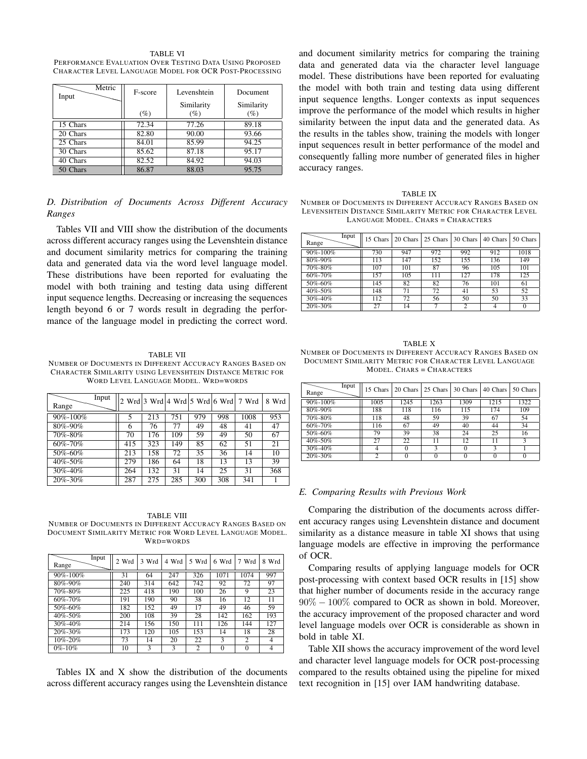TABLE VI PERFORMANCE EVALUATION OVER TESTING DATA USING PROPOSED CHARACTER LEVEL LANGUAGE MODEL FOR OCR POST-PROCESSING

| Metric<br>Input | F-score | Levenshtein | Document   |
|-----------------|---------|-------------|------------|
|                 |         | Similarity  | Similarity |
|                 | $(\%)$  | (%)         | (%)        |
| 15 Chars        | 72.34   | 77.26       | 89.18      |
| 20 Chars        | 82.80   | 90.00       | 93.66      |
| 25 Chars        | 84.01   | 85.99       | 94.25      |
| 30 Chars        | 85.62   | 87.18       | 95.17      |
| 40 Chars        | 82.52   | 84.92       | 94.03      |
| 50 Chars        | 86.87   | 88.03       | 95.75      |

*D. Distribution of Documents Across Different Accuracy Ranges*

Tables VII and VIII show the distribution of the documents across different accuracy ranges using the Levenshtein distance and document similarity metrics for comparing the training data and generated data via the word level language model. These distributions have been reported for evaluating the model with both training and testing data using different input sequence lengths. Decreasing or increasing the sequences length beyond 6 or 7 words result in degrading the performance of the language model in predicting the correct word.

## TABLE VII

NUMBER OF DOCUMENTS IN DIFFERENT ACCURACY RANGES BASED ON CHARACTER SIMILARITY USING LEVENSHTEIN DISTANCE METRIC FOR WORD LEVEL LANGUAGE MODEL. WRD=WORDS

| Input<br>Range |     |     |     |     |     | $2$ Wrd $3$ Wrd $ 4$ Wrd $ 5$ Wrd $ 6$ Wrd $ 7$ Wrd | 8 Wrd |
|----------------|-----|-----|-----|-----|-----|-----------------------------------------------------|-------|
| 90%-100%       | 5   | 213 | 751 | 979 | 998 | 1008                                                | 953   |
| 80%-90%        | 6   | 76  | 77  | 49  | 48  | 41                                                  | 47    |
| 70%-80%        | 70  | 176 | 109 | 59  | 49  | 50                                                  | 67    |
| $60\% - 70\%$  | 415 | 323 | 149 | 85  | 62  | 51                                                  | 21    |
| 50%-60%        | 213 | 158 | 72  | 35  | 36  | 14                                                  | 10    |
| 40%-50%        | 279 | 186 | 64  | 18  | 13  | 13                                                  | 39    |
| $30\% - 40\%$  | 264 | 132 | 31  | 14  | 25  | 31                                                  | 368   |
| 20%-30%        | 287 | 275 | 285 | 300 | 308 | 341                                                 |       |

TABLE VIII NUMBER OF DOCUMENTS IN DIFFERENT ACCURACY RANGES BASED ON DOCUMENT SIMILARITY METRIC FOR WORD LEVEL LANGUAGE MODEL. WRD=WORDS

| Range          | Input | 2 Wrd | 3 Wrd | 4 Wrd | 5 Wrd          | 6 Wrd    | 7 Wrd          | Wrd<br>8       |
|----------------|-------|-------|-------|-------|----------------|----------|----------------|----------------|
| $90\% - 100\%$ |       | 31    | 64    | 247   | 326            | 1071     | 1074           | 997            |
|                |       |       |       |       |                |          |                |                |
| 80%-90%        |       | 240   | 314   | 642   | 742            | 92       | 72             | 97             |
| 70%-80%        |       | 225   | 418   | 190   | 100            | 26       | 9              | 23             |
| 60%-70%        |       | 191   | 190   | 90    | 38             | 16       | 12             | 11             |
| 50%-60%        |       | 182   | 152   | 49    | 17             | 49       | 46             | 59             |
| 40%-50%        |       | 200   | 108   | 39    | 28             | 142      | 162            | 193            |
| $30\% - 40\%$  |       | 214   | 156   | 150   | 111            | 126      | 144            | 127            |
| $20\% - 30\%$  |       | 173   | 120   | 105   | 153            | 14       | 18             | 28             |
| 10%-20%        |       | 73    | 14    | 20    | 22             | 3        | $\overline{2}$ | $\overline{4}$ |
| $0\% - 10\%$   |       | 10    | 3     | 3     | $\overline{c}$ | $\Omega$ | 0              | $\overline{4}$ |

Tables IX and X show the distribution of the documents across different accuracy ranges using the Levenshtein distance and document similarity metrics for comparing the training data and generated data via the character level language model. These distributions have been reported for evaluating the model with both train and testing data using different input sequence lengths. Longer contexts as input sequences improve the performance of the model which results in higher similarity between the input data and the generated data. As the results in the tables show, training the models with longer input sequences result in better performance of the model and consequently falling more number of generated files in higher accuracy ranges.

TABLE IX NUMBER OF DOCUMENTS IN DIFFERENT ACCURACY RANGES BASED ON LEVENSHTEIN DISTANCE SIMILARITY METRIC FOR CHARACTER LEVEL LANGUAGE MODEL. CHARS = CHARACTERS

| Input<br>Range | 15 Chars | 20 Chars | 25 Chars | 30 Chars       | 40 Chars | 50 Chars |
|----------------|----------|----------|----------|----------------|----------|----------|
| 90%-100%       | 730      | 947      | 972      | 992            | 912      | 1018     |
| 80%-90%        | 113      | 147      | 152      | 155            | 136      | 149      |
| 70%-80%        | 107      | 101      | 87       | 96             | 105      | 101      |
| 60%-70%        | 157      | 105      | 111      | 127            | 178      | 125      |
| 50%-60%        | 145      | 82       | 82       | 76             | 101      | 61       |
| $40\% - 50\%$  | 148      | 71       | 72       | 41             | 53       | 52       |
| 30%-40%        | 112      | 72       | 56       | 50             | 50       | 33       |
| 20%-30%        | 27       | 14       | 7        | $\overline{c}$ | 4        | $\Omega$ |

TABLE X NUMBER OF DOCUMENTS IN DIFFERENT ACCURACY RANGES BASED ON DOCUMENT SIMILARITY METRIC FOR CHARACTER LEVEL LANGUAGE MODEL. CHARS = CHARACTERS

| Input<br>Range | 15 Chars       | 20 Chars | 25 Chars | 30 Chars | 40 Chars | 50 Chars |
|----------------|----------------|----------|----------|----------|----------|----------|
| $90\% - 100\%$ | 1005           | 1245     | 1263     | 1309     | 1215     | 1322     |
| 80%-90%        | 188            | 118      | 116      | 115      | 174      | 109      |
| 70%-80%        | 118            | 48       | 59       | 39       | 67       | 54       |
| 60%-70%        | 116            | 67       | 49       | 40       | 44       | 34       |
| 50%-60%        | 79             | 39       | 38       | 24       | 25       | 16       |
| 40%-50%        | 27             | 22       | 11       | 12       | 11       |          |
| 30%-40%        |                |          | ٩        | 0        |          |          |
| 20%-30%        | $\overline{c}$ |          | $\Omega$ |          |          | 0        |

#### *E. Comparing Results with Previous Work*

Comparing the distribution of the documents across different accuracy ranges using Levenshtein distance and document similarity as a distance measure in table XI shows that using language models are effective in improving the performance of OCR.

Comparing results of applying language models for OCR post-processing with context based OCR results in [15] show that higher number of documents reside in the accuracy range 90% *−* 100% compared to OCR as shown in bold. Moreover, the accuracy improvement of the proposed character and word level language models over OCR is considerable as shown in bold in table XI.

Table XII shows the accuracy improvement of the word level and character level language models for OCR post-processing compared to the results obtained using the pipeline for mixed text recognition in [15] over IAM handwriting database.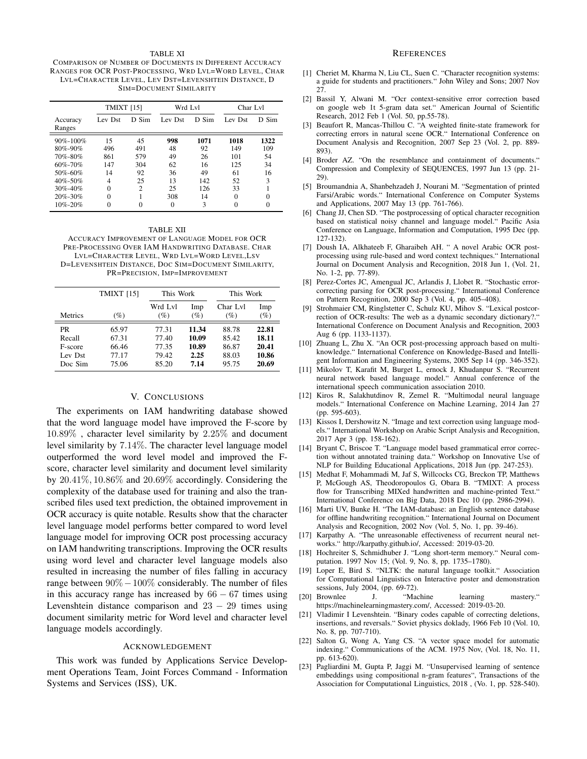### TABLE XI

COMPARISON OF NUMBER OF DOCUMENTS IN DIFFERENT ACCURACY RANGES FOR OCR POST-PROCESSING, WRD LVL=WORD LEVEL, CHAR LVL=CHARACTER LEVEL, LEV DST=LEVENSHTEIN DISTANCE, D SIM=DOCUMENT SIMILARITY

|                                                                        | <b>TMIXT</b> [15]             |                               | Wrd Lvl                     |                              | Char Lyl                        |                               |
|------------------------------------------------------------------------|-------------------------------|-------------------------------|-----------------------------|------------------------------|---------------------------------|-------------------------------|
| Accuracy<br>Ranges                                                     | Lev Dst                       | D Sim                         | Lev Dst                     | D Sim                        | Lev Dst                         | D Sim                         |
| $90\% - 100\%$<br>$80\% - 90\%$<br>70%-80%<br>$60\% - 70\%$<br>50%-60% | 15<br>496<br>861<br>147<br>14 | 45<br>491<br>579<br>304<br>92 | 998<br>48<br>49<br>62<br>36 | 1071<br>92<br>26<br>16<br>49 | 1018<br>149<br>101<br>125<br>61 | 1322<br>109<br>54<br>34<br>16 |
| $40\% - 50\%$<br>$30\% - 40\%$<br>$20\% - 30\%$<br>$10\% - 20\%$       | 4<br>$\Omega$<br>$\Omega$     | 25<br>$\mathfrak{D}$          | 13<br>25<br>308<br>$\theta$ | 142<br>126<br>14<br>3        | 52<br>33<br>$\theta$<br>0       | 3<br>0<br>0                   |

TABLE XII ACCURACY IMPROVEMENT OF LANGUAGE MODEL FOR OCR PRE-PROCESSING OVER IAM HANDWRITING DATABASE. CHAR LVL=CHARACTER LEVEL, WRD LVL=WORD LEVEL,LSV D=LEVENSHTEIN DISTANCE, DOC SIM=DOCUMENT SIMILARITY, PR=PRECISION, IMP=IMPROVEMENT

|                                               | <b>TMIXT</b> [15]                         | This Work                                 |                                         | This Work                                 |                                           |
|-----------------------------------------------|-------------------------------------------|-------------------------------------------|-----------------------------------------|-------------------------------------------|-------------------------------------------|
| Metrics                                       | $\%$                                      | Wrd Lvl<br>$(\%)$                         | Imp<br>(%)                              | Char Lyl<br>(%)                           | Imp<br>$(\%)$                             |
| PR<br>Recall<br>F-score<br>Lev Dst<br>Doc Sim | 65.97<br>67.31<br>66.46<br>77.17<br>75.06 | 77.31<br>77.40<br>77.35<br>79.42<br>85.20 | 11.34<br>10.09<br>10.89<br>2.25<br>7.14 | 88.78<br>85.42<br>86.87<br>88.03<br>95.75 | 22.81<br>18.11<br>20.41<br>10.86<br>20.69 |

# V. CONCLUSIONS

The experiments on IAM handwriting database showed that the word language model have improved the F-score by 10*.*89% , character level similarity by 2*.*25% and document level similarity by 7*.*14%. The character level language model outperformed the word level model and improved the Fscore, character level similarity and document level similarity by 20*.*41%*,* 10*.*86% and 20*.*69% accordingly. Considering the complexity of the database used for training and also the transcribed files used text prediction, the obtained improvement in OCR accuracy is quite notable. Results show that the character level language model performs better compared to word level language model for improving OCR post processing accuracy on IAM handwriting transcriptions. Improving the OCR results using word level and character level language models also resulted in increasing the number of files falling in accuracy range between 90%*−*100% considerably. The number of files in this accuracy range has increased by 66 *−* 67 times using Levenshtein distance comparison and 23 *−* 29 times using document similarity metric for Word level and character level language models accordingly.

#### ACKNOWLEDGEMENT

This work was funded by Applications Service Development Operations Team, Joint Forces Command - Information Systems and Services (ISS), UK.

#### **REFERENCES**

- [1] Cheriet M, Kharma N, Liu CL, Suen C. "Character recognition systems: a guide for students and practitioners." John Wiley and Sons; 2007 Nov 27.
- [2] Bassil Y, Alwani M. "Ocr context-sensitive error correction based on google web 1t 5-gram data set." American Journal of Scientific Research, 2012 Feb 1 (Vol. 50, pp.55-78).
- [3] Beaufort R, Mancas-Thillou C. "A weighted finite-state framework for correcting errors in natural scene OCR." International Conference on Document Analysis and Recognition, 2007 Sep 23 (Vol. 2, pp. 889- 893).
- [4] Broder AZ. "On the resemblance and containment of documents." Compression and Complexity of SEQUENCES, 1997 Jun 13 (pp. 21- 29).
- [5] Broumandnia A, Shanbehzadeh J, Nourani M. "Segmentation of printed Farsi/Arabic words." International Conference on Computer Systems and Applications, 2007 May 13 (pp. 761-766).
- [6] Chang JJ, Chen SD. "The postprocessing of optical character recognition based on statistical noisy channel and language model." Pacific Asia Conference on Language, Information and Computation, 1995 Dec (pp. 127-132).
- [7] Doush IA, Alkhateeb F, Gharaibeh AH. " A novel Arabic OCR postprocessing using rule-based and word context techniques." International Journal on Document Analysis and Recognition, 2018 Jun 1, (Vol. 21, No. 1-2, pp. 77-89).
- [8] Perez-Cortes JC, Amengual JC, Arlandis J, Llobet R. "Stochastic errorcorrecting parsing for OCR post-processing." International Conference on Pattern Recognition, 2000 Sep 3 (Vol. 4, pp. 405–408).
- [9] Strohmaier CM, Ringlstetter C, Schulz KU, Mihov S. "Lexical postcorrection of OCR-results: The web as a dynamic secondary dictionary?." International Conference on Document Analysis and Recognition, 2003 Aug 6 (pp. 1133-1137).
- [10] Zhuang L, Zhu X. "An OCR post-processing approach based on multiknowledge." International Conference on Knowledge-Based and Intelligent Information and Engineering Systems, 2005 Sep 14 (pp. 346-352).
- [11] Mikolov T, Karafit M, Burget L, ernock J, Khudanpur S. "Recurrent neural network based language model." Annual conference of the international speech communication association 2010.
- [12] Kiros R, Salakhutdinov R, Zemel R. "Multimodal neural language models." International Conference on Machine Learning, 2014 Jan 27 (pp. 595-603).
- [13] Kissos I, Dershowitz N. "Image and text correction using language models." International Workshop on Arabic Script Analysis and Recognition, 2017 Apr 3 (pp. 158-162).
- [14] Bryant C, Briscoe T. "Language model based grammatical error correction without annotated training data." Workshop on Innovative Use of NLP for Building Educational Applications, 2018 Jun (pp. 247-253).
- [15] Medhat F, Mohammadi M, Jaf S, Willcocks CG, Breckon TP, Matthews P, McGough AS, Theodoropoulos G, Obara B. "TMIXT: A process flow for Transcribing MIXed handwritten and machine-printed Text." International Conference on Big Data, 2018 Dec 10 (pp. 2986-2994).
- [16] Marti UV, Bunke H. "The IAM-database: an English sentence database for offline handwriting recognition." International Journal on Document Analysis and Recognition, 2002 Nov (Vol. 5, No. 1, pp. 39-46).
- [17] Karpathy A. "The unreasonable effectiveness of recurrent neural networks." http://karpathy.github.io/, Accessed: 2019-03-20.
- [18] Hochreiter S, Schmidhuber J. "Long short-term memory." Neural computation. 1997 Nov 15; (Vol. 9, No. 8, pp. 1735–1780).
- [19] Loper E, Bird S. "NLTK: the natural language toolkit." Association for Computational Linguistics on Interactive poster and demonstration sessions, July 2004, (pp. 69-72).
- [20] Brownlee J. "Machine learning mastery." https://machinelearningmastery.com/, Accessed: 2019-03-20.
- [21] Vladimir I Levenshtein. "Binary codes capable of correcting deletions, insertions, and reversals." Soviet physics doklady, 1966 Feb 10 (Vol. 10, No. 8, pp. 707-710).
- [22] Salton G, Wong A, Yang CS. "A vector space model for automatic indexing." Communications of the ACM. 1975 Nov, (Vol. 18, No. 11, pp. 613-620).
- [23] Pagliardini M, Gupta P, Jaggi M. "Unsupervised learning of sentence embeddings using compositional n-gram features", Transactions of the Association for Computational Linguistics, 2018 , (Vo. 1, pp. 528-540).